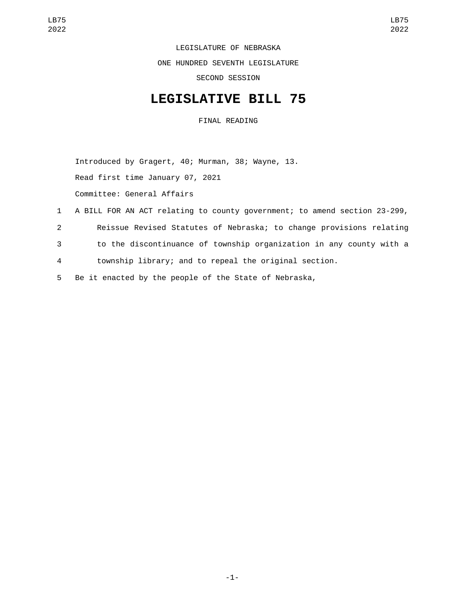LEGISLATURE OF NEBRASKA ONE HUNDRED SEVENTH LEGISLATURE SECOND SESSION

## **LEGISLATIVE BILL 75**

FINAL READING

Introduced by Gragert, 40; Murman, 38; Wayne, 13. Read first time January 07, 2021 Committee: General Affairs

- 1 A BILL FOR AN ACT relating to county government; to amend section 23-299,
- 2 Reissue Revised Statutes of Nebraska; to change provisions relating
- 3 to the discontinuance of township organization in any county with a
- 4 township library; and to repeal the original section.
- 5 Be it enacted by the people of the State of Nebraska,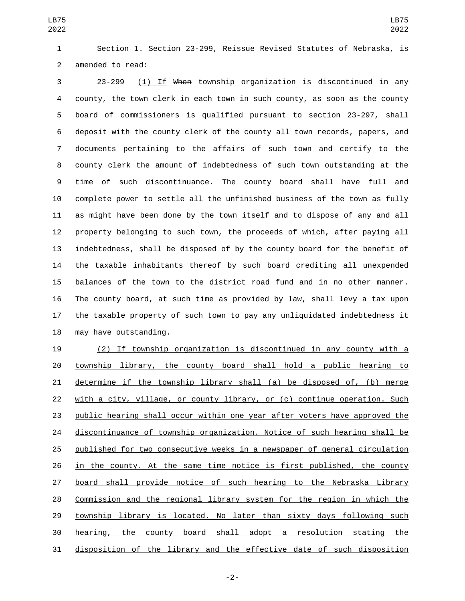LB75 

 Section 1. Section 23-299, Reissue Revised Statutes of Nebraska, is 2 amended to read:

 23-299 (1) If When township organization is discontinued in any county, the town clerk in each town in such county, as soon as the county board of commissioners is qualified pursuant to section 23-297, shall deposit with the county clerk of the county all town records, papers, and documents pertaining to the affairs of such town and certify to the county clerk the amount of indebtedness of such town outstanding at the time of such discontinuance. The county board shall have full and complete power to settle all the unfinished business of the town as fully as might have been done by the town itself and to dispose of any and all property belonging to such town, the proceeds of which, after paying all indebtedness, shall be disposed of by the county board for the benefit of the taxable inhabitants thereof by such board crediting all unexpended balances of the town to the district road fund and in no other manner. The county board, at such time as provided by law, shall levy a tax upon the taxable property of such town to pay any unliquidated indebtedness it 18 may have outstanding.

 (2) If township organization is discontinued in any county with a township library, the county board shall hold a public hearing to determine if the township library shall (a) be disposed of, (b) merge with a city, village, or county library, or (c) continue operation. Such public hearing shall occur within one year after voters have approved the 24 discontinuance of township organization. Notice of such hearing shall be published for two consecutive weeks in a newspaper of general circulation in the county. At the same time notice is first published, the county board shall provide notice of such hearing to the Nebraska Library Commission and the regional library system for the region in which the 29 township library is located. No later than sixty days following such hearing, the county board shall adopt a resolution stating the disposition of the library and the effective date of such disposition